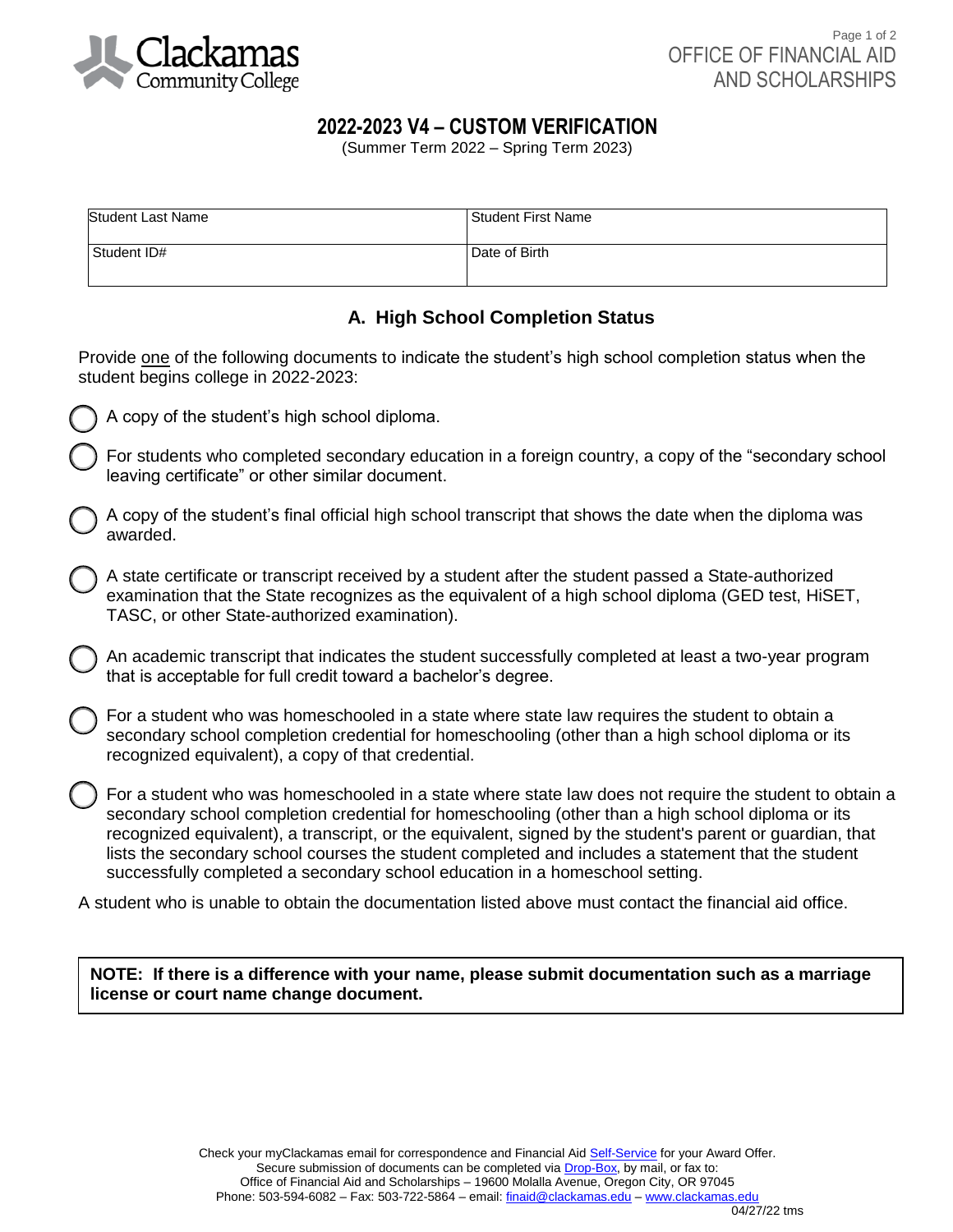

# **2022-2023 V4 – CUSTOM VERIFICATION**

(Summer Term 2022 – Spring Term 2023)

| Student Last Name | Student First Name |
|-------------------|--------------------|
| Student ID#       | Date of Birth      |

# **A. High School Completion Status**

Provide one of the following documents to indicate the student's high school completion status when the student begins college in 2022-2023:



A copy of the student's high school diploma.

For students who completed secondary education in a foreign country, a copy of the "secondary school leaving certificate" or other similar document.

A copy of the student's final official high school transcript that shows the date when the diploma was awarded.

A state certificate or transcript received by a student after the student passed a State-authorized examination that the State recognizes as the equivalent of a high school diploma (GED test, HiSET, TASC, or other State-authorized examination).

An academic transcript that indicates the student successfully completed at least a two-year program that is acceptable for full credit toward a bachelor's degree.

For a student who was homeschooled in a state where state law requires the student to obtain a secondary school completion credential for homeschooling (other than a high school diploma or its recognized equivalent), a copy of that credential.

For a student who was homeschooled in a state where state law does not require the student to obtain a secondary school completion credential for homeschooling (other than a high school diploma or its recognized equivalent), a transcript, or the equivalent, signed by the student's parent or guardian, that lists the secondary school courses the student completed and includes a statement that the student successfully completed a secondary school education in a homeschool setting.

A student who is unable to obtain the documentation listed above must contact the financial aid office.

**NOTE: If there is a difference with your name, please submit documentation such as a marriage license or court name change document.** 

04/27/22 tms